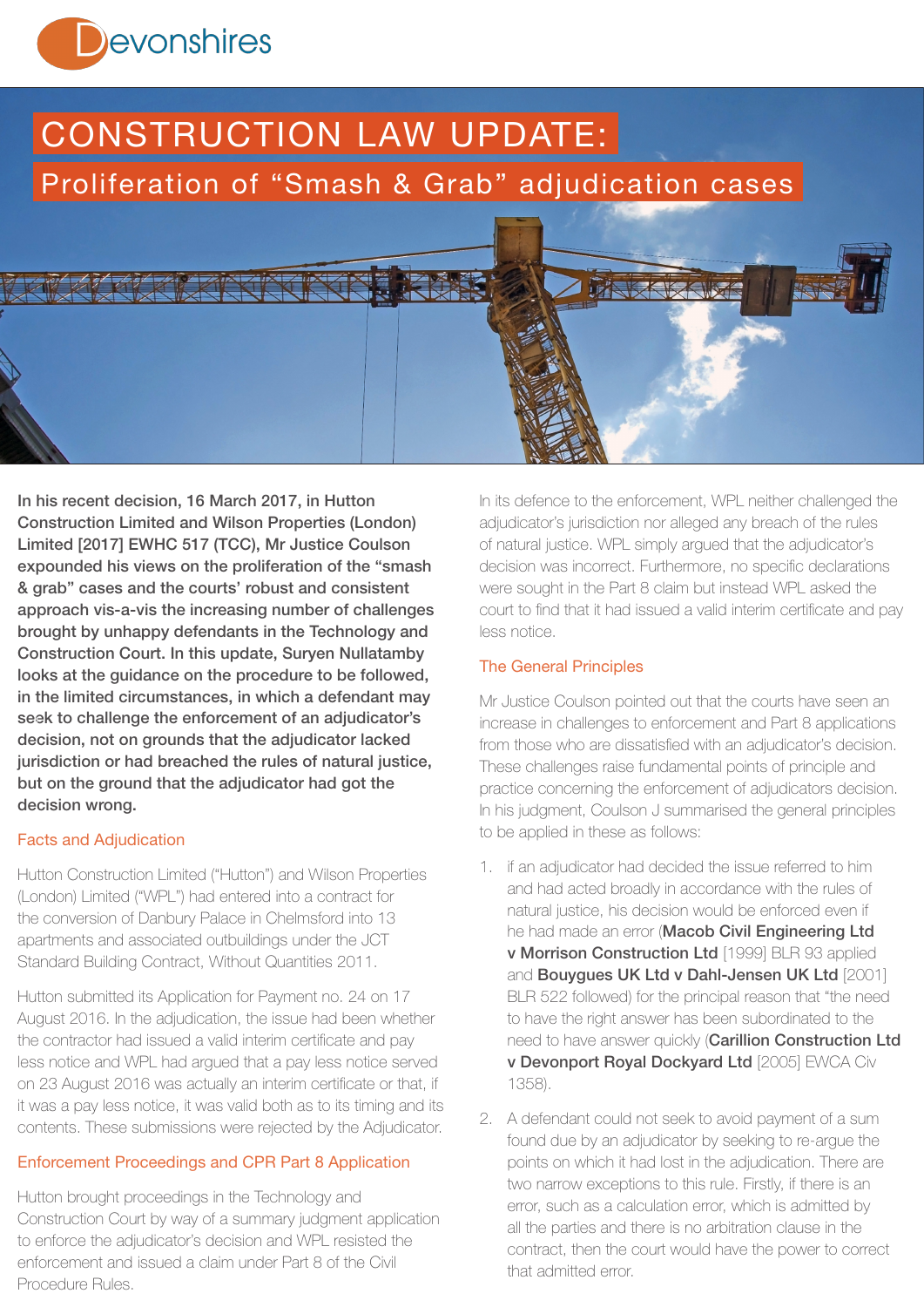

# CONSTRUCTION LAW UPDATE: Proliferation of "Smash & Grab" adjudication cases



In his recent decision, 16 March 2017, in Hutton Construction Limited and Wilson Properties (London) Limited [2017] EWHC 517 (TCC), Mr Justice Coulson expounded his views on the proliferation of the "smash & grab" cases and the courts' robust and consistent approach vis-a-vis the increasing number of challenges brought by unhappy defendants in the Technology and Construction Court. In this update, Suryen Nullatamby looks at the guidance on the procedure to be followed, in the limited circumstances, in which a defendant may seek to challenge the enforcement of an adjudicator's 1decision, not on grounds that the adjudicator lacked jurisdiction or had breached the rules of natural justice, but on the ground that the adjudicator had got the decision wrong.

# Facts and Adjudication

Hutton Construction Limited ("Hutton") and Wilson Properties (London) Limited ("WPL") had entered into a contract for the conversion of Danbury Palace in Chelmsford into 13 apartments and associated outbuildings under the JCT Standard Building Contract, Without Quantities 2011.

Hutton submitted its Application for Payment no. 24 on 17 August 2016. In the adjudication, the issue had been whether the contractor had issued a valid interim certificate and pay less notice and WPL had argued that a pay less notice served on 23 August 2016 was actually an interim certificate or that, if it was a pay less notice, it was valid both as to its timing and its contents. These submissions were rejected by the Adjudicator.

# Enforcement Proceedings and CPR Part 8 Application

Hutton brought proceedings in the Technology and Construction Court by way of a summary judgment application to enforce the adjudicator's decision and WPL resisted the enforcement and issued a claim under Part 8 of the Civil Procedure Rules.

In its defence to the enforcement, WPL neither challenged the adjudicator's jurisdiction nor alleged any breach of the rules of natural justice. WPL simply argued that the adjudicator's decision was incorrect. Furthermore, no specific declarations were sought in the Part 8 claim but instead WPL asked the court to find that it had issued a valid interim certificate and pay less notice.

# The General Principles

Mr Justice Coulson pointed out that the courts have seen an increase in challenges to enforcement and Part 8 applications from those who are dissatisfied with an adjudicator's decision. These challenges raise fundamental points of principle and practice concerning the enforcement of adjudicators decision. In his judgment, Coulson J summarised the general principles to be applied in these as follows:

- 1. if an adjudicator had decided the issue referred to him and had acted broadly in accordance with the rules of natural justice, his decision would be enforced even if he had made an error (Macob Civil Engineering Ltd v Morrison Construction Ltd [1999] BLR 93 applied and Bouygues UK Ltd v Dahl-Jensen UK Ltd [2001] BLR 522 followed) for the principal reason that "the need to have the right answer has been subordinated to the need to have answer quickly (Carillion Construction Ltd v Devonport Royal Dockyard Ltd [2005] EWCA Civ 1358).
- 2. A defendant could not seek to avoid payment of a sum found due by an adjudicator by seeking to re-argue the points on which it had lost in the adjudication. There are two narrow exceptions to this rule. Firstly, if there is an error, such as a calculation error, which is admitted by all the parties and there is no arbitration clause in the contract, then the court would have the power to correct that admitted error.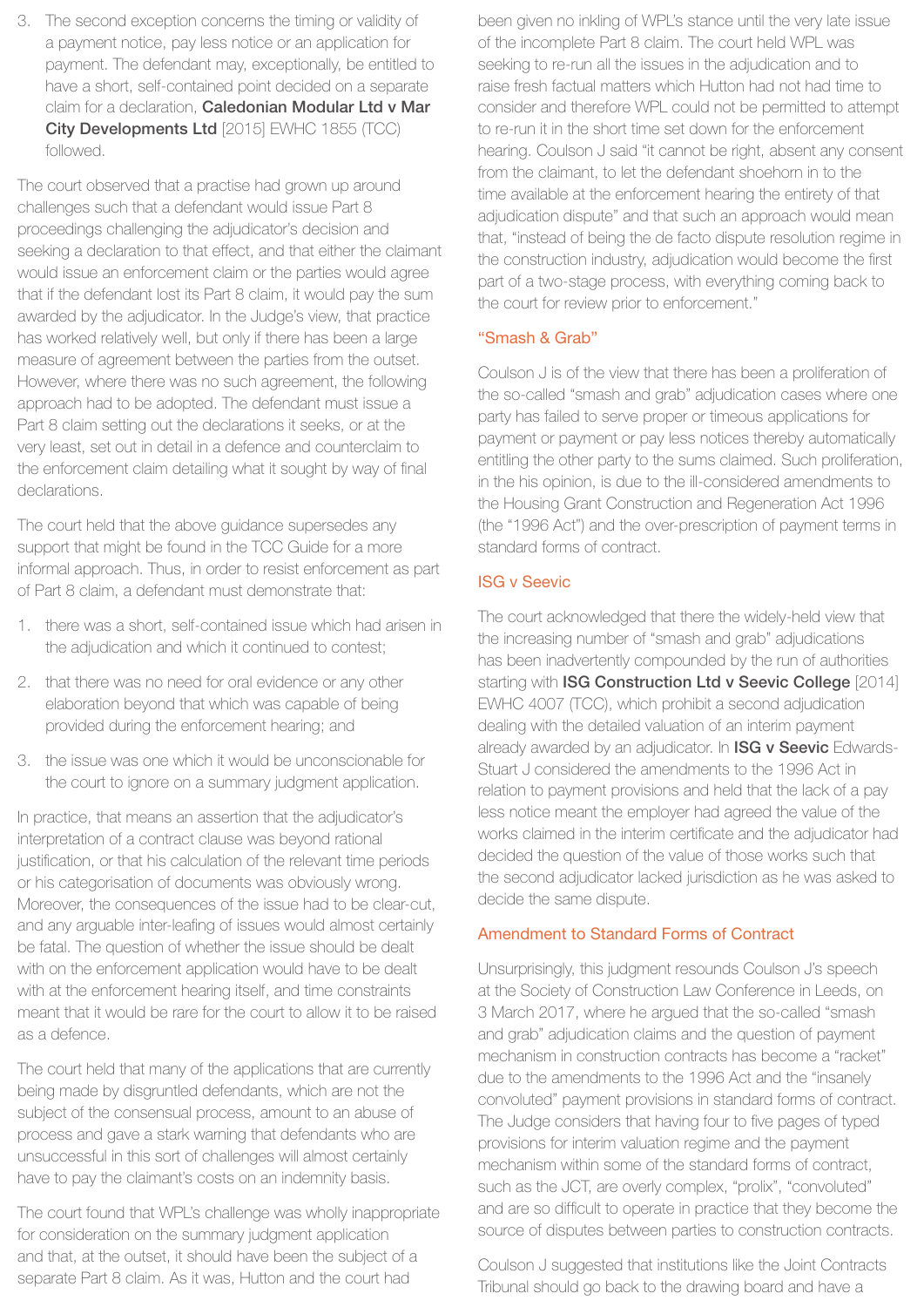3. The second exception concerns the timing or validity of a payment notice, pay less notice or an application for payment. The defendant may, exceptionally, be entitled to have a short, self-contained point decided on a separate claim for a declaration, Caledonian Modular Ltd v Mar City Developments Ltd [2015] EWHC 1855 (TCC) followed.

The court observed that a practise had grown up around challenges such that a defendant would issue Part 8 proceedings challenging the adjudicator's decision and seeking a declaration to that effect, and that either the claimant would issue an enforcement claim or the parties would agree that if the defendant lost its Part 8 claim, it would pay the sum awarded by the adjudicator. In the Judge's view, that practice has worked relatively well, but only if there has been a large measure of agreement between the parties from the outset. However, where there was no such agreement, the following approach had to be adopted. The defendant must issue a Part 8 claim setting out the declarations it seeks, or at the very least, set out in detail in a defence and counterclaim to the enforcement claim detailing what it sought by way of final declarations.

The court held that the above guidance supersedes any support that might be found in the TCC Guide for a more informal approach. Thus, in order to resist enforcement as part of Part 8 claim, a defendant must demonstrate that:

- 1. there was a short, self-contained issue which had arisen in the adjudication and which it continued to contest;
- 2. that there was no need for oral evidence or any other elaboration beyond that which was capable of being provided during the enforcement hearing; and
- 3. the issue was one which it would be unconscionable for the court to ignore on a summary judgment application.

In practice, that means an assertion that the adjudicator's interpretation of a contract clause was beyond rational justification, or that his calculation of the relevant time periods or his categorisation of documents was obviously wrong. Moreover, the consequences of the issue had to be clear-cut, and any arguable inter-leafing of issues would almost certainly be fatal. The question of whether the issue should be dealt with on the enforcement application would have to be dealt with at the enforcement hearing itself, and time constraints meant that it would be rare for the court to allow it to be raised as a defence.

The court held that many of the applications that are currently being made by disgruntled defendants, which are not the subject of the consensual process, amount to an abuse of process and gave a stark warning that defendants who are unsuccessful in this sort of challenges will almost certainly have to pay the claimant's costs on an indemnity basis.

The court found that WPL's challenge was wholly inappropriate for consideration on the summary judgment application and that, at the outset, it should have been the subject of a separate Part 8 claim. As it was, Hutton and the court had

been given no inkling of WPL's stance until the very late issue of the incomplete Part 8 claim. The court held WPL was seeking to re-run all the issues in the adjudication and to raise fresh factual matters which Hutton had not had time to consider and therefore WPL could not be permitted to attempt to re-run it in the short time set down for the enforcement hearing. Coulson J said "it cannot be right, absent any consent from the claimant, to let the defendant shoehorn in to the time available at the enforcement hearing the entirety of that adjudication dispute" and that such an approach would mean that, "instead of being the de facto dispute resolution regime in the construction industry, adjudication would become the first part of a two-stage process, with everything coming back to the court for review prior to enforcement."

# "Smash & Grab"

Coulson J is of the view that there has been a proliferation of the so-called "smash and grab" adjudication cases where one party has failed to serve proper or timeous applications for payment or payment or pay less notices thereby automatically entitling the other party to the sums claimed. Such proliferation, in the his opinion, is due to the ill-considered amendments to the Housing Grant Construction and Regeneration Act 1996 (the "1996 Act") and the over-prescription of payment terms in standard forms of contract.

#### ISG v Seevic

The court acknowledged that there the widely-held view that the increasing number of "smash and grab" adjudications has been inadvertently compounded by the run of authorities starting with ISG Construction Ltd v Seevic College [2014] EWHC 4007 (TCC), which prohibit a second adjudication dealing with the detailed valuation of an interim payment already awarded by an adjudicator. In **ISG v Seevic** Edwards-Stuart J considered the amendments to the 1996 Act in relation to payment provisions and held that the lack of a pay less notice meant the employer had agreed the value of the works claimed in the interim certificate and the adjudicator had decided the question of the value of those works such that the second adjudicator lacked jurisdiction as he was asked to decide the same dispute.

#### Amendment to Standard Forms of Contract

Unsurprisingly, this judgment resounds Coulson J's speech at the Society of Construction Law Conference in Leeds, on 3 March 2017, where he argued that the so-called "smash and grab" adjudication claims and the question of payment mechanism in construction contracts has become a "racket" due to the amendments to the 1996 Act and the "insanely convoluted" payment provisions in standard forms of contract. The Judge considers that having four to five pages of typed provisions for interim valuation regime and the payment mechanism within some of the standard forms of contract, such as the JCT, are overly complex, "prolix", "convoluted" and are so difficult to operate in practice that they become the source of disputes between parties to construction contracts.

Coulson J suggested that institutions like the Joint Contracts Tribunal should go back to the drawing board and have a